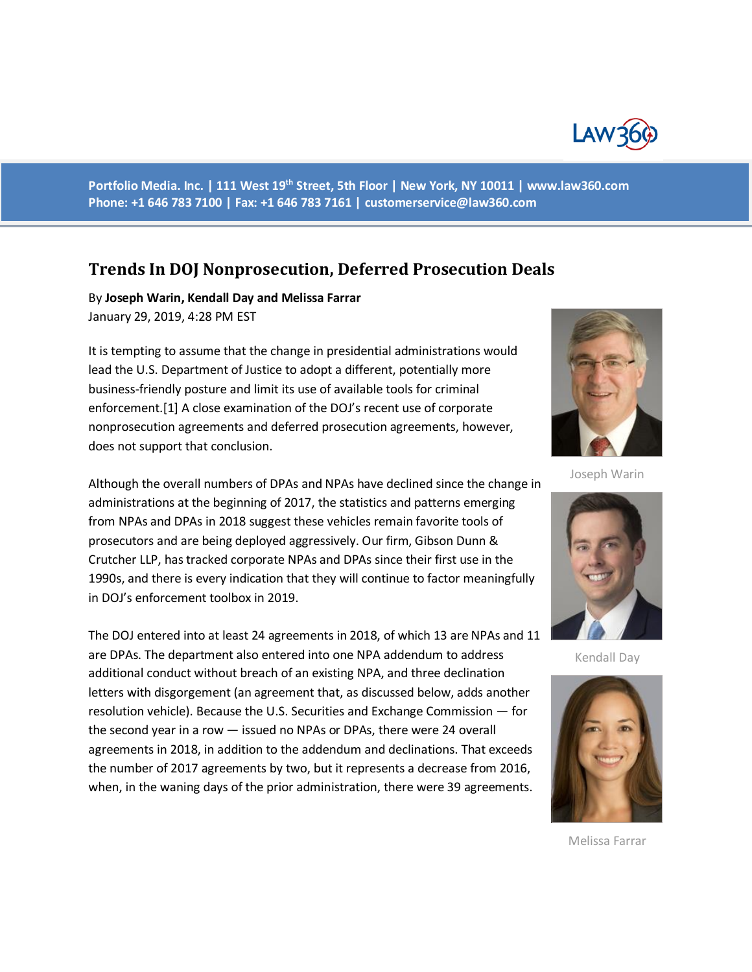

**Portfolio Media. Inc. | 111 West 19th Street, 5th Floor | New York, NY 10011 | www.law360.com Phone: +1 646 783 7100 | Fax: +1 646 783 7161 | [customerservice@law360.com](mailto:customerservice@law360.com)**

## **Trends In DOJ Nonprosecution, Deferred Prosecution Deals**

By **Joseph Warin, Kendall Day and Melissa Farrar** January 29, 2019, 4:28 PM EST

It is tempting to assume that the change in presidential administrations would lead the U.S. Department of Justice to adopt a different, potentially more business-friendly posture and limit its use of available tools for criminal enforcement.[1] A close examination of the DOJ's recent use of corporate nonprosecution agreements and deferred prosecution agreements, however, does not support that conclusion.

Although the overall numbers of DPAs and NPAs have declined since the change in administrations at the beginning of 2017, the statistics and patterns emerging from NPAs and DPAs in 2018 suggest these vehicles remain favorite tools of prosecutors and are being deployed aggressively. Our firm, Gibson Dunn & Crutcher LLP, has tracked corporate NPAs and DPAs since their first use in the 1990s, and there is every indication that they will continue to factor meaningfully in DOJ's enforcement toolbox in 2019.

The DOJ entered into at least 24 agreements in 2018, of which 13 are NPAs and 11 are DPAs. The department also entered into one NPA addendum to address additional conduct without breach of an existing NPA, and three declination letters with disgorgement (an agreement that, as discussed below, adds another resolution vehicle). Because the U.S. Securities and Exchange Commission — for the second year in a row — issued no NPAs or DPAs, there were 24 overall agreements in 2018, in addition to the addendum and declinations. That exceeds the number of 2017 agreements by two, but it represents a decrease from 2016, when, in the waning days of the prior administration, there were 39 agreements.



Joseph Warin



Kendall Day



Melissa Farrar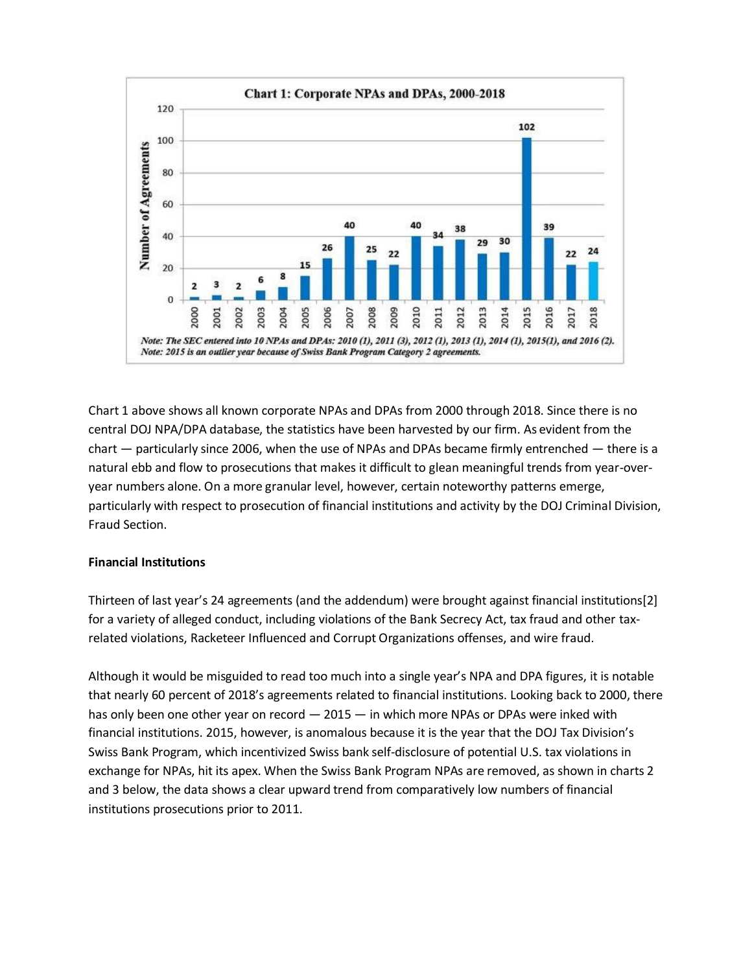

Chart 1 above shows all known corporate NPAs and DPAs from 2000 through 2018. Since there is no central DOJ NPA/DPA database, the statistics have been harvested by our firm. As evident from the chart — particularly since 2006, when the use of NPAs and DPAs became firmly entrenched — there is a natural ebb and flow to prosecutions that makes it difficult to glean meaningful trends from year-overyear numbers alone. On a more granular level, however, certain noteworthy patterns emerge, particularly with respect to prosecution of financial institutions and activity by the DOJ Criminal Division, Fraud Section.

## **Financial Institutions**

Thirteen of last year's 24 agreements (and the addendum) were brought against financial institutions[2] for a variety of alleged conduct, including violations of the Bank Secrecy Act, tax fraud and other taxrelated violations, Racketeer Influenced and Corrupt Organizations offenses, and wire fraud.

Although it would be misguided to read too much into a single year's NPA and DPA figures, it is notable that nearly 60 percent of 2018's agreements related to financial institutions. Looking back to 2000, there has only been one other year on record  $-2015 -$  in which more NPAs or DPAs were inked with financial institutions. 2015, however, is anomalous because it is the year that the DOJ Tax Division's Swiss Bank Program, which incentivized Swiss bank self-disclosure of potential U.S. tax violations in exchange for NPAs, hit its apex. When the Swiss Bank Program NPAs are removed, as shown in charts 2 and 3 below, the data shows a clear upward trend from comparatively low numbers of financial institutions prosecutions prior to 2011.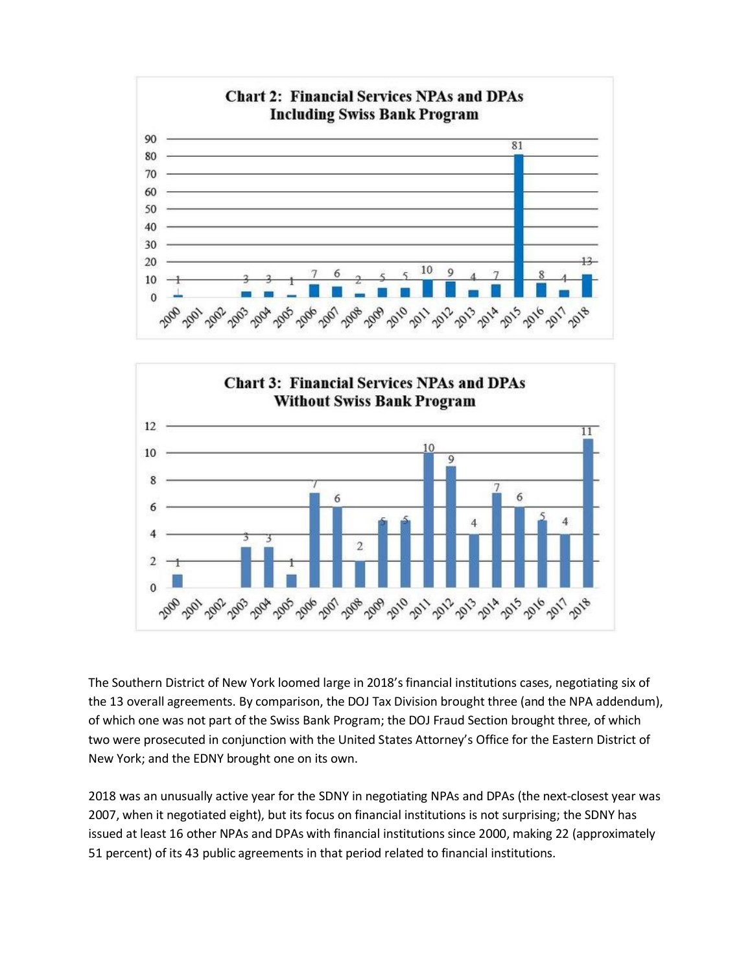



The Southern District of New York loomed large in 2018's financial institutions cases, negotiating six of the 13 overall agreements. By comparison, the DOJ Tax Division brought three (and the NPA addendum), of which one was not part of the Swiss Bank Program; the DOJ Fraud Section brought three, of which two were prosecuted in conjunction with the United States Attorney's Office for the Eastern District of New York; and the EDNY brought one on its own.

2018 was an unusually active year for the SDNY in negotiating NPAs and DPAs (the next-closest year was 2007, when it negotiated eight), but its focus on financial institutions is not surprising; the SDNY has issued at least 16 other NPAs and DPAs with financial institutions since 2000, making 22 (approximately 51 percent) of its 43 public agreements in that period related to financial institutions.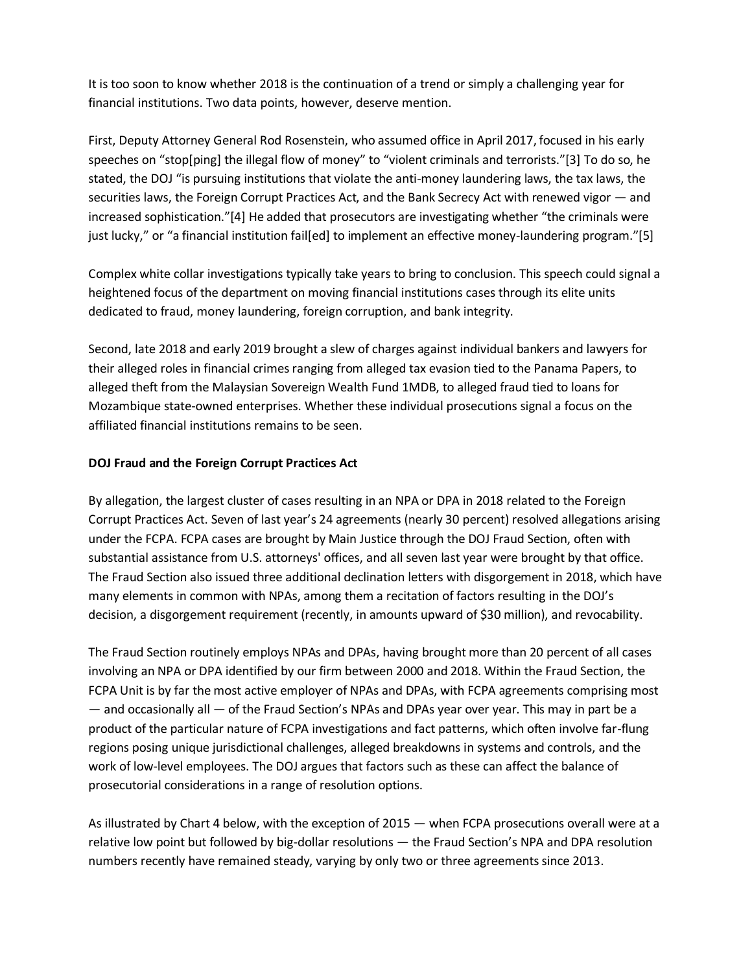It is too soon to know whether 2018 is the continuation of a trend or simply a challenging year for financial institutions. Two data points, however, deserve mention.

First, Deputy Attorney General Rod Rosenstein, who assumed office in April 2017, focused in his early speeches on "stop[ping] the illegal flow of money" to "violent criminals and terrorists."[3] To do so, he stated, the DOJ "is pursuing institutions that violate the anti-money laundering laws, the tax laws, the securities laws, the Foreign Corrupt Practices Act, and the Bank Secrecy Act with renewed vigor — and increased sophistication."[4] He added that prosecutors are investigating whether "the criminals were just lucky," or "a financial institution fail[ed] to implement an effective money-laundering program."[5]

Complex white collar investigations typically take years to bring to conclusion. This speech could signal a heightened focus of the department on moving financial institutions cases through its elite units dedicated to fraud, money laundering, foreign corruption, and bank integrity.

Second, late 2018 and early 2019 brought a slew of charges against individual bankers and lawyers for their alleged roles in financial crimes ranging from alleged tax evasion tied to the Panama Papers, to alleged theft from the Malaysian Sovereign Wealth Fund 1MDB, to alleged fraud tied to loans for Mozambique state-owned enterprises. Whether these individual prosecutions signal a focus on the affiliated financial institutions remains to be seen.

## **DOJ Fraud and the Foreign Corrupt Practices Act**

By allegation, the largest cluster of cases resulting in an NPA or DPA in 2018 related to the Foreign Corrupt Practices Act. Seven of last year's 24 agreements (nearly 30 percent) resolved allegations arising under the FCPA. FCPA cases are brought by Main Justice through the DOJ Fraud Section, often with substantial assistance from U.S. attorneys' offices, and all seven last year were brought by that office. The Fraud Section also issued three additional declination letters with disgorgement in 2018, which have many elements in common with NPAs, among them a recitation of factors resulting in the DOJ's decision, a disgorgement requirement (recently, in amounts upward of \$30 million), and revocability.

The Fraud Section routinely employs NPAs and DPAs, having brought more than 20 percent of all cases involving an NPA or DPA identified by our firm between 2000 and 2018. Within the Fraud Section, the FCPA Unit is by far the most active employer of NPAs and DPAs, with FCPA agreements comprising most — and occasionally all — of the Fraud Section's NPAs and DPAs year over year. This may in part be a product of the particular nature of FCPA investigations and fact patterns, which often involve far-flung regions posing unique jurisdictional challenges, alleged breakdowns in systems and controls, and the work of low-level employees. The DOJ argues that factors such as these can affect the balance of prosecutorial considerations in a range of resolution options.

As illustrated by Chart 4 below, with the exception of 2015 — when FCPA prosecutions overall were at a relative low point but followed by big-dollar resolutions — the Fraud Section's NPA and DPA resolution numbers recently have remained steady, varying by only two or three agreements since 2013.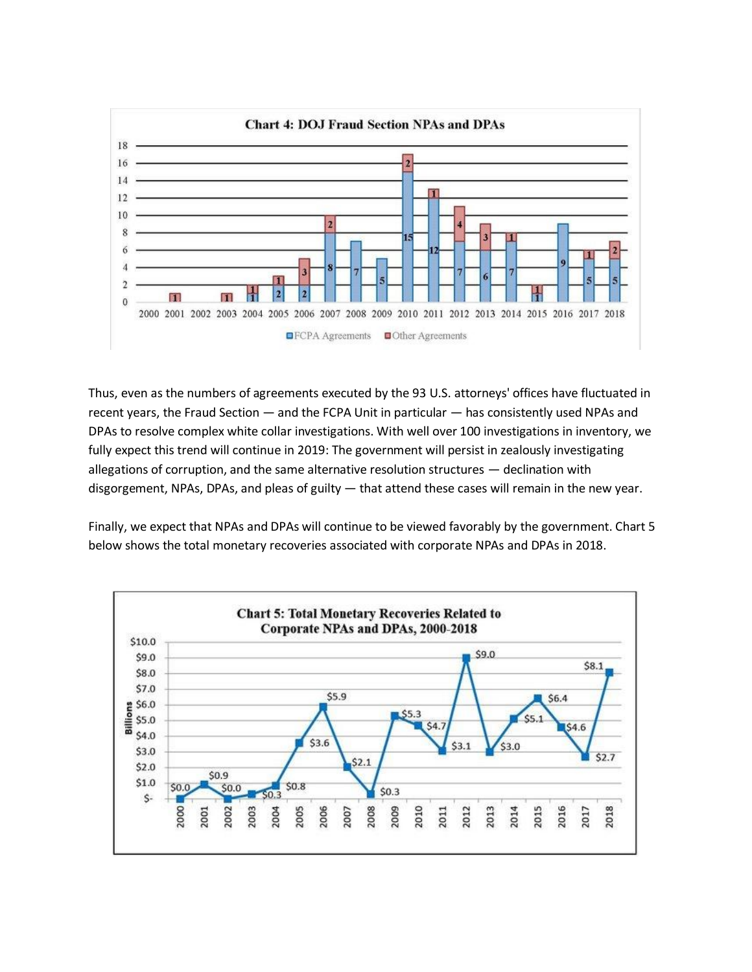

Thus, even as the numbers of agreements executed by the 93 U.S. attorneys' offices have fluctuated in recent years, the Fraud Section — and the FCPA Unit in particular — has consistently used NPAs and DPAs to resolve complex white collar investigations. With well over 100 investigations in inventory, we fully expect this trend will continue in 2019: The government will persist in zealously investigating allegations of corruption, and the same alternative resolution structures — declination with disgorgement, NPAs, DPAs, and pleas of guilty — that attend these cases will remain in the new year.

Finally, we expect that NPAs and DPAs will continue to be viewed favorably by the government. Chart 5 below shows the total monetary recoveries associated with corporate NPAs and DPAs in 2018.